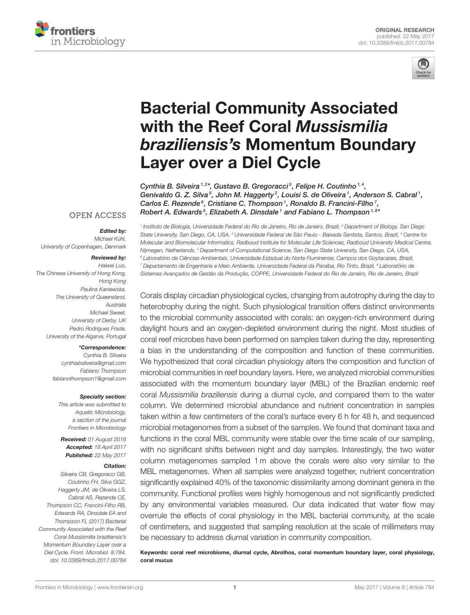



# [Bacterial Community Associated](http://journal.frontiersin.org/article/10.3389/fmicb.2017.00784/abstract) with the Reef Coral Mussismilia braziliensis's Momentum Boundary Layer over a Diel Cycle

[Cynthia B. Silveira](http://loop.frontiersin.org/people/224030/overview)<sup>1,2\*</sup>, Gustavo B. Gregoracci<sup>3</sup>, Felipe H. Coutinho<sup>1,4</sup>, Genivaldo G. Z. Silva<sup>5</sup>, John M. Haggerty<sup>2</sup>, Louisi S. de Oliveira<sup>1</sup>, Anderson S. Cabral<sup>1</sup>, [Carlos E. Rezende](http://loop.frontiersin.org/people/413901/overview)<sup>6</sup>, [Cristiane C. Thompson](http://loop.frontiersin.org/people/319813/overview)<sup>1</sup>, Ronaldo B. Francini-Filho<sup>7</sup>, Robert A. Edwards<sup>5</sup>, Elizabeth A. Dinsdale<sup>1</sup> and [Fabiano L. Thompson](http://loop.frontiersin.org/people/141263/overview)<sup>1,8\*</sup>

### **OPEN ACCESS**

#### Edited by:

Michael Kühl, University of Copenhagen, Denmark

#### Reviewed by:

Haiwei Luo, The Chinese University of Hong Kong, Hong Kong Paulina Kaniewska, The University of Queensland, Australia Michael Sweet, University of Derby, UK Pedro Rodrigues Frade, University of the Algarve, Portugal

#### \*Correspondence:

Cynthia B. Silveira [cynthiabsilveira@gmail.com](mailto:cynthiabsilveira@gmail.com) Fabiano Thompson [fabianothompson1@gmail.com](mailto:fabianothompson1@gmail.com)

#### Specialty section:

This article was submitted to Aquatic Microbiology, a section of the journal Frontiers in Microbiology

Received: 01 August 2016 Accepted: 18 April 2017 Published: 22 May 2017

#### Citation:

Silveira CB, Gregoracci GB, Coutinho FH, Silva GGZ, Haggerty JM, de Oliveira LS, Cabral AS, Rezende CE, Thompson CC, Francini-Filho RB, Edwards RA, Dinsdale EA and Thompson FL (2017) Bacterial Community Associated with the Reef Coral Mussismilia braziliensis's Momentum Boundary Layer over a Diel Cycle. Front. Microbiol. 8:784. doi: [10.3389/fmicb.2017.00784](https://doi.org/10.3389/fmicb.2017.00784)

<sup>1</sup> Instituto de Biologia, Universidade Federal do Rio de Janeiro, Rio de Janeiro, Brazil, <sup>2</sup> Department of Biology, San Diego State University, San Diego, CA, USA, <sup>3</sup> Universidade Federal de São Paulo - Baixada Santista, Santos, Brazil, <sup>4</sup> Centre for Molecular and Biomolecular Informatics, Radboud Institute for Molecular Life Sciences, Radboud University Medical Centre, Nijmegen, Netherlands, <sup>5</sup> Department of Computational Science, San Diego State University, San Diego, CA, USA, <sup>6</sup> Laboratório de Ciências Ambientais, Universidade Estadual do Norte Fluminense, Campos dos Goytacazes, Brazil, <sup>7</sup> Departamento de Engenharia e Meio Ambiente, Universidade Federal da Paraíba, Rio Tinto, Brazil, <sup>8</sup> Laboratório de Sistemas Avançados de Gestão da Produção, COPPE, Universidade Federal do Rio de Janeiro, Rio de Janeiro, Brazil

Corals display circadian physiological cycles, changing from autotrophy during the day to heterotrophy during the night. Such physiological transition offers distinct environments to the microbial community associated with corals: an oxygen-rich environment during daylight hours and an oxygen-depleted environment during the night. Most studies of coral reef microbes have been performed on samples taken during the day, representing a bias in the understanding of the composition and function of these communities. We hypothesized that coral circadian physiology alters the composition and function of microbial communities in reef boundary layers. Here, we analyzed microbial communities associated with the momentum boundary layer (MBL) of the Brazilian endemic reef coral Mussismilia braziliensis during a diurnal cycle, and compared them to the water column. We determined microbial abundance and nutrient concentration in samples taken within a few centimeters of the coral's surface every 6 h for 48 h, and sequenced microbial metagenomes from a subset of the samples. We found that dominant taxa and functions in the coral MBL community were stable over the time scale of our sampling, with no significant shifts between night and day samples. Interestingly, the two water column metagenomes sampled 1 m above the corals were also very similar to the MBL metagenomes. When all samples were analyzed together, nutrient concentration significantly explained 40% of the taxonomic dissimilarity among dominant genera in the community. Functional profiles were highly homogenous and not significantly predicted by any environmental variables measured. Our data indicated that water flow may overrule the effects of coral physiology in the MBL bacterial community, at the scale of centimeters, and suggested that sampling resolution at the scale of millimeters may be necessary to address diurnal variation in community composition.

Keywords: coral reef microbiome, diurnal cycle, Abrolhos, coral momentum boundary layer, coral physiology, coral mucus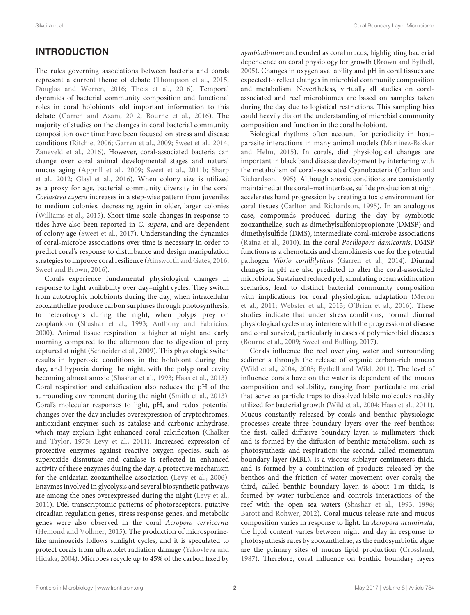# INTRODUCTION

The rules governing associations between bacteria and corals represent a current theme of debate [\(Thompson et al., 2015;](#page-11-0) [Douglas and Werren, 2016;](#page-9-0) [Theis et al., 2016\)](#page-11-1). Temporal dynamics of bacterial community composition and functional roles in coral holobionts add important information to this debate [\(Garren and Azam, 2012;](#page-9-1) [Bourne et al., 2016\)](#page-9-2). The majority of studies on the changes in coral bacterial community composition over time have been focused on stress and disease conditions [\(Ritchie, 2006;](#page-10-0) [Garren et al., 2009;](#page-9-3) [Sweet et al., 2014;](#page-11-2) [Zaneveld et al., 2016\)](#page-11-3). However, coral-associated bacteria can change over coral animal developmental stages and natural mucus aging [\(Apprill et al., 2009;](#page-9-4) [Sweet et al., 2011b;](#page-11-4) Sharp et al., [2012;](#page-10-1) [Glasl et al., 2016\)](#page-9-5). When colony size is utilized as a proxy for age, bacterial community diversity in the coral Coelastrea aspera increases in a step-wise pattern from juveniles to medium colonies, decreasing again in older, larger colonies [\(Williams et al., 2015\)](#page-11-5). Short time scale changes in response to tides have also been reported in C. aspera, and are dependent of colony age [\(Sweet et al., 2017\)](#page-11-6). Understanding the dynamics of coral-microbe associations over time is necessary in order to predict coral's response to disturbance and design manipulation strategies to improve coral resilience [\(Ainsworth and Gates, 2016;](#page-9-6) [Sweet and Brown, 2016\)](#page-11-7).

Corals experience fundamental physiological changes in response to light availability over day–night cycles. They switch from autotrophic holobionts during the day, when intracellular zooxanthellae produce carbon surpluses through photosynthesis, to heterotrophs during the night, when polyps prey on zooplankton [\(Shashar et al., 1993;](#page-10-2) [Anthony and Fabricius,](#page-9-7) [2000\)](#page-9-7). Animal tissue respiration is higher at night and early morning compared to the afternoon due to digestion of prey captured at night [\(Schneider et al., 2009\)](#page-10-3). This physiologic switch results in hyperoxic conditions in the holobiont during the day, and hypoxia during the night, with the polyp oral cavity becoming almost anoxic [\(Shashar et al., 1993;](#page-10-2) [Haas et al., 2013\)](#page-9-8). Coral respiration and calcification also reduces the pH of the surrounding environment during the night [\(Smith et al., 2013\)](#page-10-4). Coral's molecular responses to light, pH, and redox potential changes over the day includes overexpression of cryptochromes, antioxidant enzymes such as catalase and carbonic anhydrase, which may explain light-enhanced coral calcification (Chalker and Taylor, [1975;](#page-9-9) [Levy et al., 2011\)](#page-10-5). Increased expression of protective enzymes against reactive oxygen species, such as superoxide dismutase and catalase is reflected in enhanced activity of these enzymes during the day, a protective mechanism for the cnidarian-zooxanthellae association [\(Levy et al., 2006\)](#page-10-6). Enzymes involved in glycolysis and several biosynthetic pathways are among the ones overexpressed during the night [\(Levy et al.,](#page-10-5) [2011\)](#page-10-5). Diel transcriptomic patterns of photoreceptors, putative circadian regulation genes, stress response genes, and metabolic genes were also observed in the coral Acropora cervicornis [\(Hemond and Vollmer, 2015\)](#page-10-7). The production of microsporinelike aminoacids follows sunlight cycles, and it is speculated to protect corals from ultraviolet radiation damage (Yakovleva and Hidaka, [2004\)](#page-11-8). Microbes recycle up to 45% of the carbon fixed by Symbiodinium and exuded as coral mucus, highlighting bacterial dependence on coral physiology for growth [\(Brown and Bythell,](#page-9-10) [2005\)](#page-9-10). Changes in oxygen availability and pH in coral tissues are expected to reflect changes in microbial community composition and metabolism. Nevertheless, virtually all studies on coralassociated and reef microbiomes are based on samples taken during the day due to logistical restrictions. This sampling bias could heavily distort the understanding of microbial community composition and function in the coral holobiont.

Biological rhythms often account for periodicity in host– parasite interactions in many animal models (Martinez-Bakker and Helm, [2015\)](#page-10-8). In corals, diel physiological changes are important in black band disease development by interfering with the metabolism of coral-associated Cyanobacteria (Carlton and Richardson, [1995\)](#page-9-11). Although anoxic conditions are consistently maintained at the coral–mat interface, sulfide production at night accelerates band progression by creating a toxic environment for coral tissues [\(Carlton and Richardson, 1995\)](#page-9-11). In an analogous case, compounds produced during the day by symbiotic zooxanthellae, such as dimethylsulfoniopropionate (DMSP) and dimethylsulfide (DMS), intermediate coral-microbe associations [\(Raina et al., 2010\)](#page-10-9). In the coral Pocillopora damicornis, DMSP functions as a chemotaxis and chemokinesis cue for the potential pathogen Vibrio corallilyticus [\(Garren et al., 2014\)](#page-9-12). Diurnal changes in pH are also predicted to alter the coral-associated microbiota. Sustained reduced pH, simulating ocean acidification scenarios, lead to distinct bacterial community composition with implications for coral physiological adaptation (Meron et al., [2011;](#page-10-10) [Webster et al., 2013;](#page-11-9) [O'Brien et al., 2016\)](#page-10-11). These studies indicate that under stress conditions, normal diurnal physiological cycles may interfere with the progression of disease and coral survival, particularly in cases of polymicrobial diseases [\(Bourne et al., 2009;](#page-9-13) [Sweet and Bulling, 2017\)](#page-11-10).

Corals influence the reef overlying water and surrounding sediments through the release of organic carbon-rich mucus [\(Wild et al., 2004,](#page-11-11) [2005;](#page-11-12) [Bythell and Wild, 2011\)](#page-9-14). The level of influence corals have on the water is dependent of the mucus composition and solubility, ranging from particulate material that serve as particle traps to dissolved labile molecules readily utilized for bacterial growth [\(Wild et al., 2004;](#page-11-11) [Haas et al., 2011\)](#page-10-12). Mucus constantly released by corals and benthic physiologic processes create three boundary layers over the reef benthos: the first, called diffusive boundary layer, is millimeters thick and is formed by the diffusion of benthic metabolism, such as photosynthesis and respiration; the second, called momentum boundary layer (MBL), is a viscous sublayer centimeters thick, and is formed by a combination of products released by the benthos and the friction of water movement over corals; the third, called benthic boundary layer, is about 1 m thick, is formed by water turbulence and controls interactions of the reef with the open sea waters [\(Shashar et al., 1993,](#page-10-2) [1996;](#page-10-13) [Barott and Rohwer, 2012\)](#page-9-15). Coral mucus release rate and mucus composition varies in response to light. In Acropora acuminata, the lipid content varies between night and day in response to photosynthesis rates by zooxanthellae, as the endosymbiotic algae are the primary sites of mucus lipid production [\(Crossland,](#page-9-16) [1987\)](#page-9-16). Therefore, coral influence on benthic boundary layers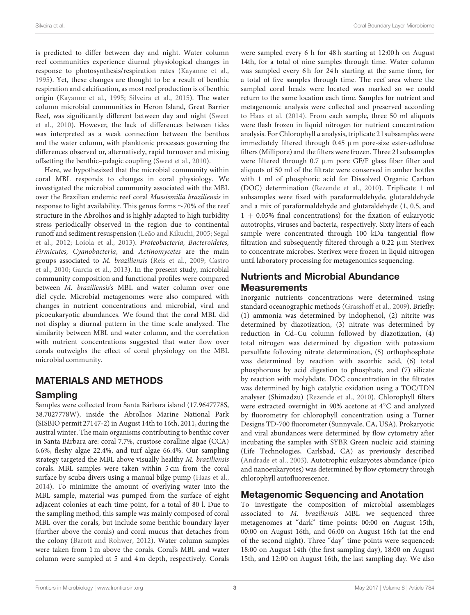is predicted to differ between day and night. Water column reef communities experience diurnal physiological changes in response to photosynthesis/respiration rates [\(Kayanne et al.,](#page-10-14) [1995\)](#page-10-14). Yet, these changes are thought to be a result of benthic respiration and calcification, as most reef production is of benthic origin [\(Kayanne et al., 1995;](#page-10-14) [Silveira et al., 2015\)](#page-10-15). The water column microbial communities in Heron Island, Great Barrier Reef, was significantly different between day and night (Sweet et al., [2010\)](#page-11-13). However, the lack of differences between tides was interpreted as a weak connection between the benthos and the water column, with planktonic processes governing the differences observed or, alternatively, rapid turnover and mixing offsetting the benthic–pelagic coupling [\(Sweet et al., 2010\)](#page-11-13).

Here, we hypothesized that the microbial community within coral MBL responds to changes in coral physiology. We investigated the microbial community associated with the MBL over the Brazilian endemic reef coral Mussismilia braziliensis in response to light availability. This genus forms ∼70% of the reef structure in the Abrolhos and is highly adapted to high turbidity stress periodically observed in the region due to continental runoff and sediment resuspension [\(Leão and Kikuchi, 2005;](#page-10-16) Segal et al., [2012;](#page-10-17) [Loiola et al., 2013\)](#page-10-18). Proteobacteria, Bacteroidetes, Firmicutes, Cyanobacteria, and Actinomycetes are the main groups associated to M. braziliensis [\(Reis et al., 2009;](#page-10-19) Castro et al., [2010;](#page-9-17) [Garcia et al., 2013\)](#page-9-18). In the present study, microbial community composition and functional profiles were compared between M. braziliensis's MBL and water column over one diel cycle. Microbial metagenomes were also compared with changes in nutrient concentrations and microbial, viral and picoeukaryotic abundances. We found that the coral MBL did not display a diurnal pattern in the time scale analyzed. The similarity between MBL and water column, and the correlation with nutrient concentrations suggested that water flow over corals outweighs the effect of coral physiology on the MBL microbial community.

# MATERIALS AND METHODS

## Sampling

Samples were collected from Santa Bárbara island (17.9647778S, 38.7027778W), inside the Abrolhos Marine National Park (SISBIO permit 27147-2) in August 14th to 16th, 2011, during the austral winter. The main organisms contributing to benthic cover in Santa Bárbara are: coral 7.7%, crustose coralline algae (CCA) 6.6%, fleshy algae 22.4%, and turf algae 66.4%. Our sampling strategy targeted the MBL above visually healthy M. braziliensis corals. MBL samples were taken within 5 cm from the coral surface by scuba divers using a manual bilge pump [\(Haas et al.,](#page-9-19) [2014\)](#page-9-19). To minimize the amount of overlying water into the MBL sample, material was pumped from the surface of eight adjacent colonies at each time point, for a total of 80 l. Due to the sampling method, this sample was mainly composed of coral MBL over the corals, but include some benthic boundary layer (further above the corals) and coral mucus that detaches from the colony [\(Barott and Rohwer, 2012\)](#page-9-15). Water column samples were taken from 1 m above the corals. Coral's MBL and water column were sampled at 5 and 4 m depth, respectively. Corals were sampled every 6 h for 48 h starting at 12:00 h on August 14th, for a total of nine samples through time. Water column was sampled every 6 h for 24 h starting at the same time, for a total of five samples through time. The reef area where the sampled coral heads were located was marked so we could return to the same location each time. Samples for nutrient and metagenomic analysis were collected and preserved according to [Haas et al. \(2014\)](#page-9-19). From each sample, three 50 ml aliquots were flash frozen in liquid nitrogen for nutrient concentration analysis. For Chlorophyll a analysis, triplicate 2 l subsamples were immediately filtered through 0.45 µm pore-size ester-cellulose filters (Millipore) and the filters were frozen. Three 2 l subsamples were filtered through 0.7 µm pore GF/F glass fiber filter and aliquots of 50 ml of the filtrate were conserved in amber bottles with 1 ml of phosphoric acid for Dissolved Organic Carbon (DOC) determination [\(Rezende et al., 2010\)](#page-10-20). Triplicate 1 ml subsamples were fixed with paraformaldehyde, glutaraldehyde and a mix of paraformaldehyde and glutaraldehyde (1, 0.5, and  $1 + 0.05\%$  final concentrations) for the fixation of eukaryotic autotrophs, viruses and bacteria, respectively. Sixty liters of each sample were concentrated through 100 kDa tangential flow filtration and subsequently filtered through a 0.22  $\mu$ m Sterivex to concentrate microbes. Sterivex were frozen in liquid nitrogen until laboratory processing for metagenomics sequencing.

# Nutrients and Microbial Abundance **Measurements**

Inorganic nutrients concentrations were determined using standard oceanographic methods [\(Grasshoff et al., 2009\)](#page-9-20). Briefly: (1) ammonia was determined by indophenol, (2) nitrite was determined by diazotization, (3) nitrate was determined by reduction in Cd–Cu column followed by diazotization, (4) total nitrogen was determined by digestion with potassium persulfate following nitrate determination, (5) orthophosphate was determined by reaction with ascorbic acid, (6) total phosphorous by acid digestion to phosphate, and (7) silicate by reaction with molybdate. DOC concentration in the filtrates was determined by high catalytic oxidation using a TOC/TDN analyser (Shimadzu) [\(Rezende et al., 2010\)](#page-10-20). Chlorophyll filters were extracted overnight in 90% acetone at 4◦C and analyzed by fluorometry for chlorophyll concentration using a Turner Designs TD-700 fluorometer (Sunnyvale, CA, USA). Prokaryotic and viral abundances were determined by flow cytometry after incubating the samples with SYBR Green nucleic acid staining (Life Technologies, Carlsbad, CA) as previously described [\(Andrade et al., 2003\)](#page-9-21). Autotrophic eukaryotes abundance (pico and nanoeukaryotes) was determined by flow cytometry through chlorophyll autofluorescence.

# Metagenomic Sequencing and Anotation

To investigate the composition of microbial assemblages associated to M. braziliensis MBL we sequenced three metagenomes at "dark" time points: 00:00 on August 15th, 00:00 on August 16th, and 06:00 on August 16th (at the end of the second night). Three "day" time points were sequenced: 18:00 on August 14th (the first sampling day), 18:00 on August 15th, and 12:00 on August 16th, the last sampling day. We also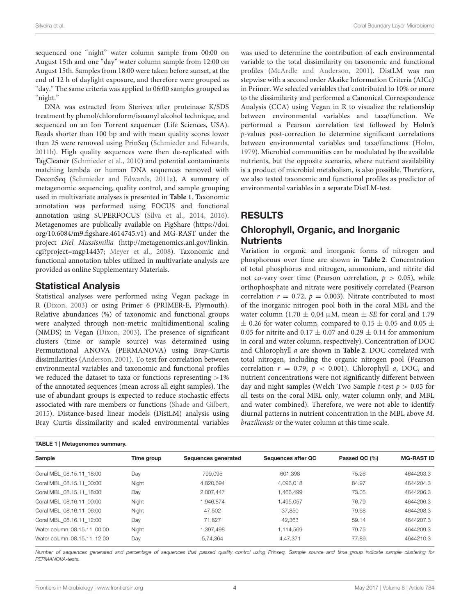sequenced one "night" water column sample from 00:00 on August 15th and one "day" water column sample from 12:00 on August 15th. Samples from 18:00 were taken before sunset, at the end of 12 h of daylight exposure, and therefore were grouped as "day." The same criteria was applied to 06:00 samples grouped as "night."

DNA was extracted from Sterivex after proteinase K/SDS treatment by phenol/chloroform/isoamyl alcohol technique, and sequenced on an Ion Torrent sequencer (Life Sciences, USA). Reads shorter than 100 bp and with mean quality scores lower than 25 were removed using PrinSeq [\(Schmieder and Edwards,](#page-10-21) [2011b\)](#page-10-21). High quality sequences were then de-replicated with TagCleaner [\(Schmieder et al., 2010\)](#page-10-22) and potential contaminants matching lambda or human DNA sequences removed with DeconSeq [\(Schmieder and Edwards, 2011a\)](#page-10-23). A summary of metagenomic sequencing, quality control, and sample grouping used in multivariate analyses is presented in **[Table 1](#page-3-0)**. Taxonomic annotation was performed using FOCUS and functional annotation using SUPERFOCUS [\(Silva et al., 2014,](#page-10-24) [2016\)](#page-10-25). Metagenomes are publically available on FigShare [\(https://doi.](https://doi.org/10.6084/m9.figshare.4614745.v1) [org/10.6084/m9.figshare.4614745.v1\)](https://doi.org/10.6084/m9.figshare.4614745.v1) and MG-RAST under the project Diel Mussismilia [\(http://metagenomics.anl.gov/linkin.](http://metagenomics.anl.gov/linkin.cgi?project=mgp14437) [cgi?project=mgp14437;](http://metagenomics.anl.gov/linkin.cgi?project=mgp14437) [Meyer et al., 2008\)](#page-10-26). Taxonomic and functional annotation tables utilized in multivariate analysis are provided as online Supplementary Materials.

## Statistical Analysis

Statistical analyses were performed using Vegan package in R [\(Dixon, 2003\)](#page-9-22) or using Primer 6 (PRIMER-E, Plymouth). Relative abundances (%) of taxonomic and functional groups were analyzed through non-metric multidimentional scaling (NMDS) in Vegan [\(Dixon, 2003\)](#page-9-22). The presence of significant clusters (time or sample source) was determined using Permutational ANOVA (PERMANOVA) using Bray-Curtis dissimilarities [\(Anderson, 2001\)](#page-9-23). To test for correlation between environmental variables and taxonomic and functional profiles we reduced the dataset to taxa or functions representing >1% of the annotated sequences (mean across all eight samples). The use of abundant groups is expected to reduce stochastic effects associated with rare members or functions [\(Shade and Gilbert,](#page-10-27) [2015\)](#page-10-27). Distance-based linear models (DistLM) analysis using Bray Curtis dissimilarity and scaled environmental variables

<span id="page-3-0"></span>

|  | TABLE 1   Metagenomes summary. |  |
|--|--------------------------------|--|
|--|--------------------------------|--|

was used to determine the contribution of each environmental variable to the total dissimilarity on taxonomic and functional profiles [\(McArdle and Anderson, 2001\)](#page-10-28). DistLM was ran stepwise with a second order Akaike Information Criteria (AICc) in Primer. We selected variables that contributed to 10% or more to the dissimilarity and performed a Canonical Correspondence Analysis (CCA) using Vegan in R to visualize the relationship between environmental variables and taxa/function. We performed a Pearson correlation test followed by Holm's p-values post-correction to determine significant correlations between environmental variables and taxa/functions [\(Holm,](#page-10-29) [1979\)](#page-10-29). Microbial communities can be modulated by the available nutrients, but the opposite scenario, where nutrient availability is a product of microbial metabolism, is also possible. Therefore, we also tested taxonomic and functional profiles as predictor of environmental variables in a separate DistLM-test.

# RESULTS

# Chlorophyll, Organic, and Inorganic **Nutrients**

Variation in organic and inorganic forms of nitrogen and phosphorous over time are shown in **[Table 2](#page-4-0)**. Concentration of total phosphorus and nitrogen, ammonium, and nitrite did not co-vary over time (Pearson correlation,  $p > 0.05$ ), while orthophosphate and nitrate were positively correlated (Pearson correlation  $r = 0.72$ ,  $p = 0.003$ ). Nitrate contributed to most of the inorganic nitrogen pool both in the coral MBL and the water column (1.70  $\pm$  0.04  $\mu$ M, mean  $\pm$  SE for coral and 1.79  $\pm$  0.26 for water column, compared to 0.15  $\pm$  0.05 and 0.05  $\pm$ 0.05 for nitrite and 0.17  $\pm$  0.07 and 0.29  $\pm$  0.14 for ammonium in coral and water column, respectively). Concentration of DOC and Chlorophyll a are shown in **[Table 2](#page-4-0)**. DOC correlated with total nitrogen, including the organic nitrogen pool (Pearson correlation  $r = 0.79$ ,  $p < 0.001$ ). Chlorophyll a, DOC, and nutrient concentrations were not significantly different between day and night samples (Welch Two Sample *t*-test  $p > 0.05$  for all tests on the coral MBL only, water column only, and MBL and water combined). Therefore, we were not able to identify diurnal patterns in nutrient concentration in the MBL above M. braziliensis or the water column at this time scale.

| Sample                      | Time group | Sequences generated | Sequences after QC | Passed QC (%) | <b>MG-RAST ID</b> |
|-----------------------------|------------|---------------------|--------------------|---------------|-------------------|
| Coral MBL 08.15.11 18:00    | Day        | 799.095             | 601.398            | 75.26         | 4644203.3         |
| Coral MBL 08.15.11 00:00    | Night      | 4.820.694           | 4.096.018          | 84.97         | 4644204.3         |
| Coral MBL 08.15.11 18:00    | Day        | 2,007,447           | 1,466,499          | 73.05         | 4644206.3         |
| Coral MBL 08.16.11 00:00    | Night      | 1.946.874           | .495.057           | 76.79         | 4644206.3         |
| Coral MBL 08.16.11 06:00    | Night      | 47.502              | 37.850             | 79.68         | 4644208.3         |
| Coral MBL 08.16.11 12:00    | Day        | 71.627              | 42.363             | 59.14         | 4644207.3         |
| Water column 08.15.11 00:00 | Night      | 1.397.498           | 1,114,569          | 79.75         | 4644209.3         |
| Water column 08.15.11 12:00 | Day        | 5,74,364            | 4,47,371           | 77.89         | 4644210.3         |

Number of sequences generated and percentage of sequences that passed quality control using Prinseq. Sample source and time group indicate sample clustering for PERMANOVA-tests.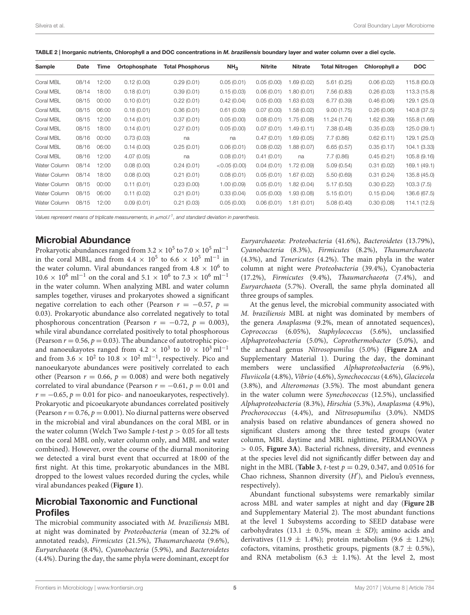| Sample       | Date  | Time  | Ortophosphate | <b>Total Phosphorus</b> | NH <sub>3</sub> | <b>Nitrite</b> | <b>Nitrate</b> | Total Nitrogen | Chlorophyll a | <b>DOC</b>   |
|--------------|-------|-------|---------------|-------------------------|-----------------|----------------|----------------|----------------|---------------|--------------|
| Coral MBL    | 08/14 | 12:00 | 0.12(0.00)    | 0.29(0.01)              | 0.05(0.01)      | 0.05(0.00)     | .69(0.02)      | 5.61(0.25)     | 0.06(0.02)    | 115.8 (00.0) |
| Coral MBL    | 08/14 | 18:00 | 0.18(0.01)    | 0.39(0.01)              | 0.15(0.03)      | 0.06(0.01)     | 1.80 (0.01)    | 7.56(0.83)     | 0.26(0.03)    | 113.3 (15.8) |
| Coral MBL    | 08/15 | 00:00 | 0.10(0.01)    | 0.22(0.01)              | 0.42(0.04)      | 0.05(0.00)     | 1.63 (0.03)    | 6.77(0.39)     | 0.46(0.06)    | 129.1 (25.0) |
| Coral MBL    | 08/15 | 06:00 | 0.18(0.01)    | 0.36(0.01)              | 0.61(0.09)      | 0.07(0.00)     | 1.58 (0.02)    | 9.00(1.75)     | 0.26(0.06)    | 140.8 (37.5) |
| Coral MBL    | 08/15 | 12:00 | 0.14(0.01)    | 0.37(0.01)              | 0.05(0.00)      | 0.08(0.01)     | 1.75 (0.08)    | 11.24 (1.74)   | 1.62(0.39)    | 155.8 (1.66) |
| Coral MBL    | 08/15 | 18:00 | 0.14(0.01)    | 0.27(0.01)              | 0.05(0.00)      | 0.07(0.01)     | 1.49 (0.11)    | 7.38(0.48)     | 0.35(0.03)    | 125.0 (39.1) |
| Coral MBL    | 08/16 | 00:00 | 0.73(0.03)    | na                      | na              | 0.47(0.01)     | 1.69 (0.05)    | 7.7(0.86)      | 0.62(0.11)    | 129.1 (25.0) |
| Coral MBL    | 08/16 | 06:00 | 0.14(0.00)    | 0.25(0.01)              | 0.06(0.01)      | 0.08(0.02)     | 1.88 (0.07)    | 6.65(0.57)     | 0.35(0.17)    | 104.1 (3.33) |
| Coral MBL    | 08/16 | 12:00 | 4.07(0.05)    | na                      | 0.08(0.01)      | 0.41(0.01)     | na             | 7.7(0.86)      | 0.45(0.21)    | 105.8 (9.16) |
| Water Column | 08/14 | 12:00 | 0.08(0.00)    | 0.24(0.01)              | $<$ 0.05 (0.00) | 0.04(0.01)     | 1.72 (0.09)    | 5.09(0.54)     | 0.31(0.02)    | 169.1 (49.1) |
| Water Column | 08/14 | 18:00 | 0.08(0.00)    | 0.21(0.01)              | 0.08(0.01)      | 0.05(0.01)     | 1.67 (0.02)    | 5.50(0.69)     | 0.31(0.24)    | 135.8 (45.0) |
| Water Column | 08/15 | 00:00 | 0.11(0.01)    | 0.23(0.00)              | 1.00(0.09)      | 0.05(0.01)     | 1.82 (0.04)    | 5.17(0.50)     | 0.30(0.22)    | 103.3 (7.5)  |
| Water Column | 08/15 | 06:00 | 0.11(0.02)    | 0.21(0.01)              | 0.33(0.04)      | 0.05(0.00)     | 1.93 (0.08)    | 5.15(0.01)     | 0.15(0.04)    | 136.6 (67.5) |
| Water Column | 08/15 | 12:00 | 0.09(0.01)    | 0.21(0.03)              | 0.05(0.00)      | 0.06(0.01)     | 1.81 (0.01)    | 5.08(0.40)     | 0.30(0.08)    | 114.1 (12.5) |

<span id="page-4-0"></span>TABLE 2 | Inorganic nutrients, Chlorophyll a and DOC concentrations in M. braziliensis boundary layer and water column over a diel cycle.

Values represent means of triplicate measurements, in  $\mu$ mol. $l^{-1}$ , and standard deviation in parenthesis.

## Microbial Abundance

Prokaryotic abundances ranged from 3.2  $\times$   $10^5$  to 7.0  $\times$   $10^5$  ml $^{-1}$ in the coral MBL, and from  $4.4 \times 10^5$  to  $6.6 \times 10^5$  ml<sup>-1</sup> in the water column. Viral abundances ranged from  $4.8\,\times\,10^6$  to  $10.6 \times 10^6$  ml<sup>-1</sup> on the coral and  $5.1 \times 10^6$  to  $7.3 \times 10^6$  ml<sup>-1</sup> in the water column. When analyzing MBL and water column samples together, viruses and prokaryotes showed a significant negative correlation to each other (Pearson  $r = -0.57$ ,  $p =$ 0.03). Prokaryotic abundance also correlated negatively to total phosphorous concentration (Pearson  $r = -0.72$ ,  $p = 0.003$ ), while viral abundance correlated positively to total phosphorous (Pearson  $r = 0.56$ ,  $p = 0.03$ ). The abundance of autotrophic picoand nanoeukayotes ranged from  $4.2 \times 10^3$  to  $10 \times 10^3$  ml<sup>-1</sup> and from 3.6  $\times$  10<sup>2</sup> to 10.8  $\times$  10<sup>2</sup> ml<sup>-1</sup>, respectively. Pico and nanoeukaryote abundances were positively correlated to each other (Pearson  $r = 0.66$ ,  $p = 0.008$ ) and were both negatively correlated to viral abundance (Pearson  $r = -0.61$ ,  $p = 0.01$  and  $r = -0.65$ ,  $p = 0.01$  for pico- and nanoeukaryotes, respectively). Prokaryotic and picoeukaryote abundances correlated positively (Pearson  $r = 0.76$ ,  $p = 0.001$ ). No diurnal patterns were observed in the microbial and viral abundances on the coral MBL or in the water column (Welch Two Sample *t*-test  $p > 0.05$  for all tests on the coral MBL only, water column only, and MBL and water combined). However, over the course of the diurnal monitoring we detected a viral burst event that occurred at 18:00 of the first night. At this time, prokaryotic abundances in the MBL dropped to the lowest values recorded during the cycles, while viral abundances peaked (**[Figure 1](#page-5-0)**).

# Microbial Taxonomic and Functional Profiles

The microbial community associated with M. braziliensis MBL at night was dominated by Proteobacteria (mean of 32.2% of annotated reads), Firmicutes (21.5%), Thaumarchaeota (9.6%), Euryarchaeota (8.4%), Cyanobacteria (5.9%), and Bacteroidetes (4.4%). During the day, the same phyla were dominant, except for Euryarchaeota: Proteobacteria (41.6%), Bacteroidetes (13.79%), Cyanobacteria (8.3%), Firmicutes (8.2%), Thaumarchaeota (4.3%), and Tenericutes (4.2%). The main phyla in the water column at night were Proteobacteria (39.4%), Cyanobacteria (17.2%), Firmicutes (9.4%), Thaumarchaeota (7.4%), and Euryarchaota (5.7%). Overall, the same phyla dominated all three groups of samples.

At the genus level, the microbial community associated with M. braziliensis MBL at night was dominated by members of the genera Anaplasma (9.2%, mean of annotated sequences), Coprococcus (6.05%), Staphylococcus (5.6%), unclassified Alphaproteobacteria (5.0%), Coprothermobacter (5.0%), and the archaeal genus Nitrosopumilus (5.0%) (**[Figure 2A](#page-6-0)** and Supplementary Material 1). During the day, the dominant members were unclassified Alphaproteobacteria (6.9%), Fluviicola (4.8%), Vibrio (4.6%), Synechococcus (4.6%), Glaciecola (3.8%), and Alteromonas (3.5%). The most abundant genera in the water column were Synechococcus (12.5%), unclassified Alphaproteobacteria (8.3%), Hirschia (5.3%), Anaplasma (4.9%), Prochorococcus (4.4%), and Nitrosopumilus (3.0%). NMDS analysis based on relative abundances of genera showed no significant clusters among the three tested groups (water column, MBL daytime and MBL nighttime, PERMANOVA p > 0.05, **[Figure 3A](#page-6-1)**). Bacterial richness, diversity, and evenness at the species level did not significantly differ between day and night in the MBL (**[Table 3](#page-7-0)**, *t*-test  $p = 0.29, 0.347,$  and 0.0516 for Chao richness, Shannon diversity (H′ ), and Pielou's evenness, respectively).

Abundant functional subsystems were remarkably similar across MBL and water samples at night and day (**[Figure 2B](#page-6-0)** and Supplementary Material 2). The most abundant functions at the level 1 Subsystems according to SEED database were carbohydrates (13.1  $\pm$  0.5%, mean  $\pm$  SD); amino acids and derivatives (11.9  $\pm$  1.4%); protein metabolism (9.6  $\pm$  1.2%); cofactors, vitamins, prosthetic groups, pigments  $(8.7 \pm 0.5\%)$ , and RNA metabolism (6.3  $\pm$  1.1%). At the level 2, most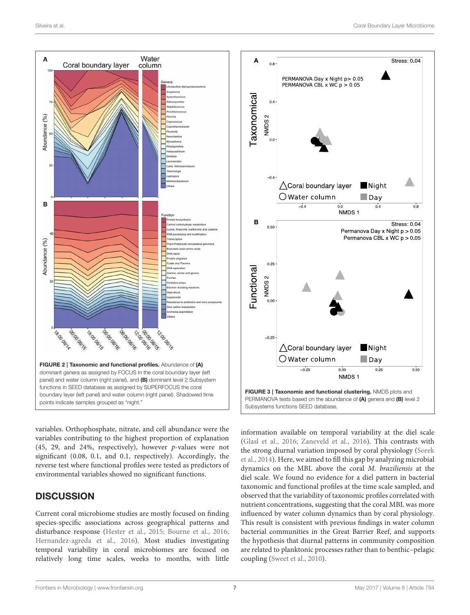

<span id="page-6-0"></span>variables. Orthophosphate, nitrate, and cell abundance were the variables contributing to the highest proportion of explanation (45, 29, and 24%, respectively), however p-values were not significant (0.08, 0.1, and 0.1, respectively). Accordingly, the reverse test where functional profiles were tested as predictors of environmental variables showed no significant functions.

# **DISCUSSION**

Current coral microbiome studies are mostly focused on finding species-specific associations across geographical patterns and disturbance response [\(Hester et al., 2015;](#page-10-30) [Bourne et al., 2016;](#page-9-2) [Hernandez-agreda et al., 2016\)](#page-10-31). Most studies investigating temporal variability in coral microbiomes are focused on relatively long time scales, weeks to months, with little



<span id="page-6-1"></span>information available on temporal variability at the diel scale [\(Glasl et al., 2016;](#page-9-5) [Zaneveld et al., 2016\)](#page-11-3). This contrasts with the strong diurnal variation imposed by coral physiology (Sorek et al., [2014\)](#page-10-32). Here, we aimed to fill this gap by analyzing microbial dynamics on the MBL above the coral M. braziliensis at the diel scale. We found no evidence for a diel pattern in bacterial taxonomic and functional profiles at the time scale sampled, and observed that the variability of taxonomic profiles correlated with nutrient concentrations, suggesting that the coral MBL was more influenced by water column dynamics than by coral physiology. This result is consistent with previous findings in water column bacterial communities in the Great Barrier Reef, and supports the hypothesis that diurnal patterns in community composition are related to planktonic processes rather than to benthic–pelagic coupling [\(Sweet et al., 2010\)](#page-11-13).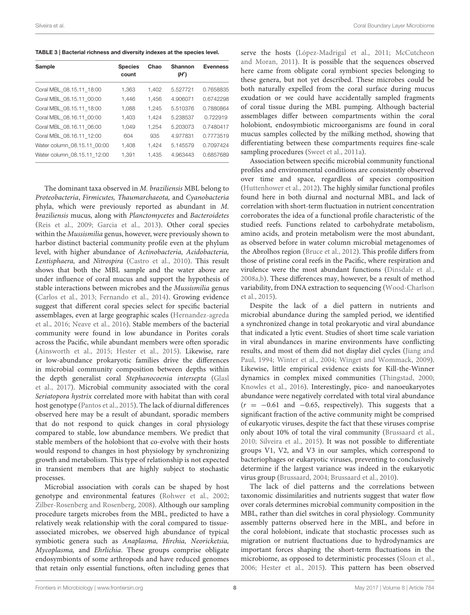<span id="page-7-0"></span>TABLE 3 | Bacterial richness and diversity indexes at the species level.

| <b>Sample</b>               | <b>Species</b><br>count | Chao  | Shannon<br>(H') | <b>Evenness</b> |
|-----------------------------|-------------------------|-------|-----------------|-----------------|
| Coral MBL 08.15.11 18:00    | 1.363                   | 1.402 | 5.527721        | 0.7658835       |
| Coral MBL 08.15.11 00:00    | 1.446                   | 1.456 | 4.906071        | 0.6742298       |
| Coral MBL 08.15.11 18:00    | 1.088                   | 1.245 | 5.510376        | 0.7880864       |
| Coral MBL 08.16.11 00:00    | 1.403                   | 1.424 | 5.238537        | 0.722919        |
| Coral MBL 08.16.11 06:00    | 1.049                   | 1.254 | 5.203073        | 0.7480417       |
| Coral MBL 08.16.11 12:00    | 604                     | 935   | 4.977831        | 0.7773519       |
| Water column 08.15.11 00:00 | 1.408                   | 1.424 | 5.145579        | 0.7097424       |
| Water column 08.15.11 12:00 | 1.391                   | 1.435 | 4.963443        | 0.6857689       |

The dominant taxa observed in M. braziliensis MBL belong to Proteobacteria, Firmicutes, Thaumarchaeota, and Cyanobacteria phyla, which were previously reported as abundant in M. braziliensis mucus, along with Planctomycetes and Bacteroidetes [\(Reis et al., 2009;](#page-10-19) [Garcia et al., 2013\)](#page-9-18). Other coral species within the Mussismilia genus, however, were previously shown to harbor distinct bacterial community profile even at the phylum level, with higher abundance of Actinobacteria, Acidobacteria, Lentisphaera, and Nitrospira [\(Castro et al., 2010\)](#page-9-17). This result shows that both the MBL sample and the water above are under influence of coral mucus and support the hypothesis of stable interactions between microbes and the Mussismilia genus [\(Carlos et al., 2013;](#page-9-24) [Fernando et al., 2014\)](#page-9-25). Growing evidence suggest that different coral species select for specific bacterial assemblages, even at large geographic scales (Hernandez-agreda et al., [2016;](#page-10-31) [Neave et al., 2016\)](#page-10-33). Stable members of the bacterial community were found in low abundance in Porites corals across the Pacific, while abundant members were often sporadic [\(Ainsworth et al., 2015;](#page-9-26) [Hester et al., 2015\)](#page-10-30). Likewise, rare or low-abundance prokaryotic families drive the differences in microbial community composition between depths within the depth generalist coral Stephanocoenia intersepta (Glasl et al., [2017\)](#page-9-27). Microbial community associated with the coral Seriatopora hystrix correlated more with habitat than with coral host genotype [\(Pantos et al., 2015\)](#page-10-34). The lack of diurnal differences observed here may be a result of abundant, sporadic members that do not respond to quick changes in coral physiology compared to stable, low abundance members. We predict that stable members of the holobiont that co-evolve with their hosts would respond to changes in host physiology by synchronizing growth and metabolism. This type of relationship is not expected in transient members that are highly subject to stochastic processes.

Microbial association with corals can be shaped by host genotype and environmental features [\(Rohwer et al., 2002;](#page-10-35) [Zilber-Rosenberg and Rosenberg, 2008\)](#page-11-14). Although our sampling procedure targets microbes from the MBL, predicted to have a relatively weak relationship with the coral compared to tissueassociated microbes, we observed high abundance of typical symbiotic genera such as Anaplasma, Hirchia, Neoricketsia, Mycoplasma, and Ehrlichia. These groups comprise obligate endosymbionts of some arthropods and have reduced genomes that retain only essential functions, often including genes that

serve the hosts [\(López-Madrigal et al., 2011;](#page-10-36) McCutcheon and Moran, [2011\)](#page-10-37). It is possible that the sequences observed here came from obligate coral symbiont species belonging to these genera, but not yet described. These microbes could be both naturally expelled from the coral surface during mucus exudation or we could have accidentally sampled fragments of coral tissue during the MBL pumping. Although bacterial assemblages differ between compartments within the coral holobiont, endosymbiotic microorganisms are found in coral mucus samples collected by the milking method, showing that differentiating between these compartments requires fine-scale sampling procedures [\(Sweet et al., 2011a\)](#page-11-15).

Association between specific microbial community functional profiles and environmental conditions are consistently observed over time and space, regardless of species composition [\(Huttenhower et al., 2012\)](#page-10-38). The highly similar functional profiles found here in both diurnal and nocturnal MBL, and lack of correlation with short-term fluctuation in nutrient concentration corroborates the idea of a functional profile characteristic of the studied reefs. Functions related to carbohydrate metabolism, amino acids, and protein metabolism were the most abundant, as observed before in water column microbial metagenomes of the Abrolhos region [\(Bruce et al., 2012\)](#page-9-28). This profile differs from those of pristine coral reefs in the Pacific, where respiration and virulence were the most abundant functions [\(Dinsdale et al.,](#page-9-29) [2008a](#page-9-29)[,b\)](#page-9-30). These differences may, however, be a result of method variability, from DNA extraction to sequencing (Wood-Charlson et al., [2015\)](#page-11-16).

Despite the lack of a diel pattern in nutrients and microbial abundance during the sampled period, we identified a synchronized change in total prokaryotic and viral abundance that indicated a lytic event. Studies of short time scale variation in viral abundances in marine environments have conflicting results, and most of them did not display diel cycles (Jiang and Paul, [1994;](#page-10-39) [Winter et al., 2004;](#page-11-17) [Winget and Wommack, 2009\)](#page-11-18). Likewise, little empirical evidence exists for Kill-the-Winner dynamics in complex mixed communities [\(Thingstad, 2000;](#page-11-19) [Knowles et al., 2016\)](#page-10-40). Interestingly, pico- and nanoeukaryotes abundance were negatively correlated with total viral abundance  $(r = -0.61$  and  $-0.65$ , respectively). This suggests that a significant fraction of the active community might be comprised of eukaryotic viruses, despite the fact that these viruses comprise only about 10% of total the viral community [\(Brussaard et al.,](#page-9-31) [2010;](#page-9-31) [Silveira et al., 2015\)](#page-10-15). It was not possible to differentiate groups V1, V2, and V3 in our samples, which correspond to bacteriophages or eukaryotic viruses, preventing to conclusively determine if the largest variance was indeed in the eukaryotic virus group [\(Brussaard, 2004;](#page-9-32) [Brussaard et al., 2010\)](#page-9-31).

The lack of diel patterns and the correlations between taxonomic dissimilarities and nutrients suggest that water flow over corals determines microbial community composition in the MBL, rather than diel switches in coral physiology. Community assembly patterns observed here in the MBL, and before in the coral holobiont, indicate that stochastic processes such as migration or nutrient fluctuations due to hydrodynamics are important forces shaping the short-term fluctuations in the microbiome, as opposed to deterministic processes [\(Sloan et al.,](#page-10-41) [2006;](#page-10-41) [Hester et al., 2015\)](#page-10-30). This pattern has been observed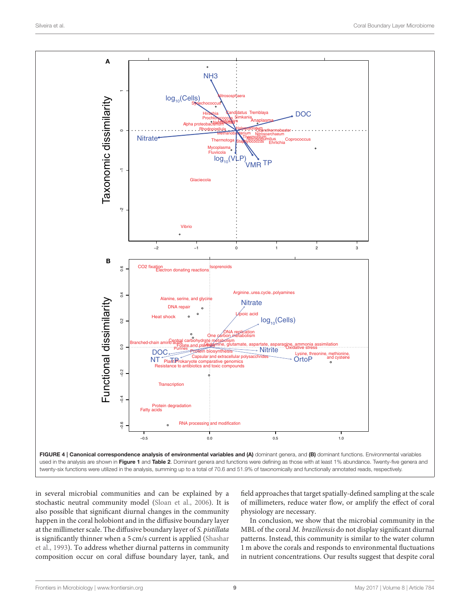

in several microbial communities and can be explained by a stochastic neutral community model [\(Sloan et al., 2006\)](#page-10-41). It is also possible that significant diurnal changes in the community happen in the coral holobiont and in the diffusive boundary layer at the millimeter scale. The diffusive boundary layer of S. pistillata is significantly thinner when a 5 cm/s current is applied (Shashar et al., [1993\)](#page-10-2). To address whether diurnal patterns in community composition occur on coral diffuse boundary layer, tank, and

field approaches that target spatially-defined sampling at the scale of millimeters, reduce water flow, or amplify the effect of coral physiology are necessary.

In conclusion, we show that the microbial community in the MBL of the coral M. braziliensis do not display significant diurnal patterns. Instead, this community is similar to the water column 1 m above the corals and responds to environmental fluctuations in nutrient concentrations. Our results suggest that despite coral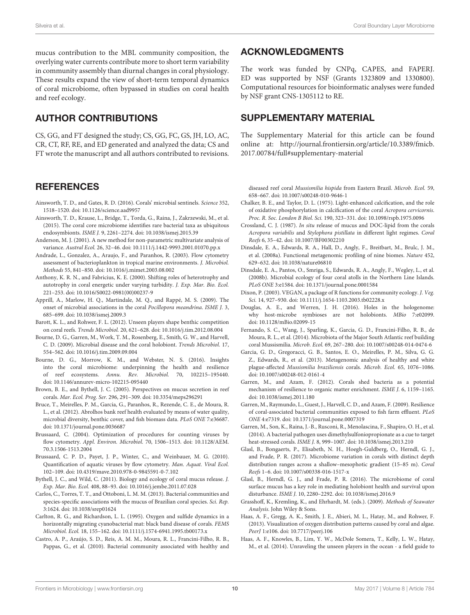mucus contribution to the MBL community composition, the overlying water currents contribute more to short term variability in community assembly than diurnal changes in coral physiology. These results expand the view of short-term temporal dynamics of coral microbiome, often bypassed in studies on coral health and reef ecology.

# AUTHOR CONTRIBUTIONS

CS, GG, and FT designed the study; CS, GG, FC, GS, JH, LO, AC, CR, CT, RF, RE, and ED generated and analyzed the data; CS and FT wrote the manuscript and all authors contributed to revisions.

## **REFERENCES**

- <span id="page-9-6"></span>Ainsworth, T. D., and Gates, R. D. (2016). Corals' microbial sentinels. Science 352, 1518–1520. doi: [10.1126/science.aad9957](https://doi.org/10.1126/science.aad9957)
- <span id="page-9-26"></span>Ainsworth, T. D., Krause, L., Bridge, T., Torda, G., Raina, J., Zakrzewski, M., et al. (2015). The coral core microbiome identifies rare bacterial taxa as ubiquitous endosymbionts. ISME J. 9, 2261–2274. doi: [10.1038/ismej.2015.39](https://doi.org/10.1038/ismej.2015.39)
- <span id="page-9-23"></span>Anderson, M. J. (2001). A new method for non-parametric multivariate analysis of variance. Austral Ecol. 26, 32–46. doi: [10.1111/j.1442-9993.2001.01070.pp.x](https://doi.org/10.1111/j.1442-9993.2001.01070.pp.x)
- <span id="page-9-21"></span>Andrade, L., Gonzalez, A., Araujo, F., and Paranhos, R. (2003). Flow cytometry assessment of bacterioplankton in tropical marine environments. J. Microbiol. Methods 55, 841–850. doi: [10.1016/j.mimet.2003.08.002](https://doi.org/10.1016/j.mimet.2003.08.002)
- <span id="page-9-7"></span>Anthony, K. R. N., and Fabricius, K. E. (2000). Shifting roles of heterotrophy and autotrophy in coral energetic under varying turbidity. J. Exp. Mar. Bio. Ecol. 221–253. doi: [10.1016/S0022-0981\(00\)00237-9](https://doi.org/10.1016/S0022-0981(00)00237-9)
- <span id="page-9-4"></span>Apprill, A., Marlow, H. Q., Martindale, M. Q., and Rappé, M. S. (2009). The onset of microbial associations in the coral Pocillopora meandrina. ISME J. 3, 685–699. doi: [10.1038/ismej.2009.3](https://doi.org/10.1038/ismej.2009.3)
- <span id="page-9-15"></span>Barott, K. L., and Rohwer, F. L. (2012). Unseen players shape benthic competition on coral reefs. Trends Microbiol. 20, 621–628. doi: [10.1016/j.tim.2012.08.004](https://doi.org/10.1016/j.tim.2012.08.004)
- <span id="page-9-13"></span>Bourne, D. G., Garren, M., Work, T. M., Rosenberg, E., Smith, G. W., and Harvell, C. D. (2009). Microbial disease and the coral holobiont. Trends Microbiol. 17, 554–562. doi: [10.1016/j.tim.2009.09.004](https://doi.org/10.1016/j.tim.2009.09.004)
- <span id="page-9-2"></span>Bourne, D. G., Morrow, K. M., and Webster, N. S. (2016). Insights into the coral microbiome: underpinning the health and resilience of reef ecosystems. Annu. Rev. Microbiol. 70, 102215–195440. doi: [10.1146/annurev-micro-102215-095440](https://doi.org/10.1146/annurev-micro-102215-095440)
- <span id="page-9-10"></span>Brown, B. E., and Bythell, J. C. (2005). Perspectives on mucus secretion in reef corals. Mar. Ecol. Prog. Ser. 296, 291–309. doi: [10.3354/meps296291](https://doi.org/10.3354/meps296291)
- <span id="page-9-28"></span>Bruce, T., Meirelles, P. M., Garcia, G., Paranhos, R., Rezende, C. E., de Moura, R. L., et al. (2012). Abrolhos bank reef health evaluated by means of water quality, microbial diversity, benthic cover, and fish biomass data. PLoS ONE 7:e36687. doi: [10.1371/journal.pone.0036687](https://doi.org/10.1371/journal.pone.0036687)
- <span id="page-9-32"></span>Brussaard, C. (2004). Optimization of procedures for counting viruses by flow cytometry. Appl. Environ. Microbiol. [70, 1506–1513. doi: 10.1128/AEM.](https://doi.org/10.1128/AEM.70.3.1506-1513.2004) 70.3.1506-1513.2004
- <span id="page-9-31"></span>Brussaard, C. P. D., Payet, J. P., Winter, C., and Weinbauer, M. G. (2010). Quantification of aquatic viruses by flow cytometry. Man. Aquat. Viral Ecol. 102–109. doi: [10.4319/mave.2010.978-0-9845591-0-7.102](https://doi.org/10.4319/mave.2010.978-0-9845591-0-7.102)
- <span id="page-9-14"></span>Bythell, J. C., and Wild, C. (2011). Biology and ecology of coral mucus release. J. Exp. Mar. Bio. Ecol. 408, 88–93. doi: [10.1016/j.jembe.2011.07.028](https://doi.org/10.1016/j.jembe.2011.07.028)
- <span id="page-9-24"></span>Carlos, C., Torres, T. T., and Ottoboni, L. M. M. (2013). Bacterial communities and species-specific associations with the mucus of Brazilian coral species. Sci. Rep. 3:1624. doi: [10.1038/srep01624](https://doi.org/10.1038/srep01624)
- <span id="page-9-11"></span>Carlton, R. G., and Richardson, L. L. (1995). Oxygen and sulfide dynamics in a horizontally migrating cyanobacterial mat: black band disease of corals. FEMS Microbiol. Ecol. 18, 155–162. doi: [10.1111/j.1574-6941.1995.tb00173.x](https://doi.org/10.1111/j.1574-6941.1995.tb00173.x)
- <span id="page-9-17"></span>Castro, A. P., Araújo, S. D., Reis, A. M. M., Moura, R. L., Francini-Filho, R. B., Pappas, G., et al. (2010). Bacterial community associated with healthy and

# ACKNOWLEDGMENTS

The work was funded by CNPq, CAPES, and FAPERJ. ED was supported by NSF (Grants 1323809 and 1330800). Computational resources for bioinformatic analyses were funded by NSF grant CNS-1305112 to RE.

# SUPPLEMENTARY MATERIAL

The Supplementary Material for this article can be found [online at: http://journal.frontiersin.org/article/10.3389/fmicb.](http://journal.frontiersin.org/article/10.3389/fmicb.2017.00784/full#supplementary-material) 2017.00784/full#supplementary-material

diseased reef coral Mussismilia hispida from Eastern Brazil. Microb. Ecol. 59, 658–667. doi: [10.1007/s00248-010-9646-1](https://doi.org/10.1007/s00248-010-9646-1)

- <span id="page-9-9"></span>Chalker, B. E., and Taylor, D. L. (1975). Light-enhanced calcification, and the role of oxidative phosphorylation in calcification of the coral Acropora cervicornis. Proc. R. Soc. London B Biol. Sci. 190, 323–331. doi: [10.1098/rspb.1975.0096](https://doi.org/10.1098/rspb.1975.0096)
- <span id="page-9-16"></span>Crossland, C. J. (1987). In situ release of mucus and DOC-lipid from the corals Acropora variabilis and Stylophora pistillata in different light regimes. Coral Reefs 6, 35–42. doi: [10.1007/BF00302210](https://doi.org/10.1007/BF00302210)
- <span id="page-9-29"></span>Dinsdale, E. A., Edwards, R. A., Hall, D., Angly, F., Breitbart, M., Brulc, J. M., et al. (2008a). Functional metagenomic profiling of nine biomes. Nature 452, 629–632. doi: [10.1038/nature06810](https://doi.org/10.1038/nature06810)
- <span id="page-9-30"></span>Dinsdale, E. A., Pantos, O., Smriga, S., Edwards, R. A., Angly, F., Wegley, L., et al. (2008b). Microbial ecology of four coral atolls in the Northern Line Islands. PLoS ONE 3:e1584. doi: [10.1371/journal.pone.0001584](https://doi.org/10.1371/journal.pone.0001584)
- <span id="page-9-22"></span>Dixon, P. (2003). VEGAN, a package of R functions for community ecology. J. Veg. Sci. 14, 927–930. doi: [10.1111/j.1654-1103.2003.tb02228.x](https://doi.org/10.1111/j.1654-1103.2003.tb02228.x)
- <span id="page-9-0"></span>Douglas, A. E., and Werren, J. H. (2016). Holes in the hologenome: why host-microbe symbioses are not holobionts. MBio 7:e02099. doi: [10.1128/mBio.02099-15](https://doi.org/10.1128/mBio.02099-15)
- <span id="page-9-25"></span>Fernando, S. C., Wang, J., Sparling, K., Garcia, G. D., Francini-Filho, R. B., de Moura, R. L., et al. (2014). Microbiota of the Major South Atlantic reef building coral Mussismilia. Microb. Ecol. 69, 267–280. doi: [10.1007/s00248-014-0474-6](https://doi.org/10.1007/s00248-014-0474-6)
- <span id="page-9-18"></span>Garcia, G. D., Gregoracci, G. B., Santos, E. O., Meirelles, P. M., Silva, G. G. Z., Edwards, R., et al. (2013). Metagenomic analysis of healthy and white plague-affected Mussismilia braziliensis corals. Microb. Ecol. 65, 1076–1086. doi: [10.1007/s00248-012-0161-4](https://doi.org/10.1007/s00248-012-0161-4)
- <span id="page-9-1"></span>Garren, M., and Azam, F. (2012). Corals shed bacteria as a potential mechanism of resilience to organic matter enrichment. ISME J. 6, 1159–1165. doi: [10.1038/ismej.2011.180](https://doi.org/10.1038/ismej.2011.180)
- <span id="page-9-3"></span>Garren, M., Raymundo, L., Guest, J., Harvell, C. D., and Azam, F. (2009). Resilience of coral-associated bacterial communities exposed to fish farm effluent. PLoS ONE 4:e7319. doi: [10.1371/journal.pone.0007319](https://doi.org/10.1371/journal.pone.0007319)
- <span id="page-9-12"></span>Garren, M., Son, K., Raina, J.-B., Rusconi, R., Menolascina, F., Shapiro, O. H., et al. (2014). A bacterial pathogen uses dimethylsulfoniopropionate as a cue to target heat-stressed corals. ISME J. 8, 999–1007. doi: [10.1038/ismej.2013.210](https://doi.org/10.1038/ismej.2013.210)
- <span id="page-9-27"></span>Glasl, B., Bongaerts, P., Elisabeth, N. H., Hoegh-Guldberg, O., Herndl, G. J., and Frade, P. R. (2017). Microbiome variation in corals with distinct depth distribution ranges across a shallow–mesophotic gradient (15–85 m). Coral Reefs 1–6. doi: [10.1007/s00338-016-1517-x](https://doi.org/10.1007/s00338-016-1517-x)
- <span id="page-9-5"></span>Glasl, B., Herndl, G. J., and Frade, P. R. (2016). The microbiome of coral surface mucus has a key role in mediating holobiont health and survival upon disturbance. ISME J. 10, 2280–2292. doi: [10.1038/ismej.2016.9](https://doi.org/10.1038/ismej.2016.9)
- <span id="page-9-20"></span>Grasshoff, K., Kremling, K., and Ehrhardt, M. (eds.). (2009). Methods of Seawater Analysis. John Wiley & Sons.
- <span id="page-9-8"></span>Haas, A. F., Gregg, A. K., Smith, J. E., Abieri, M. L., Hatay, M., and Rohwer, F. (2013). Visualization of oxygen distribution patterns caused by coral and algae. PeerJ 1:e106. doi: [10.7717/peerj.106](https://doi.org/10.7717/peerj.106)
- <span id="page-9-19"></span>Haas, A. F., Knowles, B., Lim, Y. W., McDole Somera, T., Kelly, L. W., Hatay, M., et al. (2014). Unraveling the unseen players in the ocean - a field guide to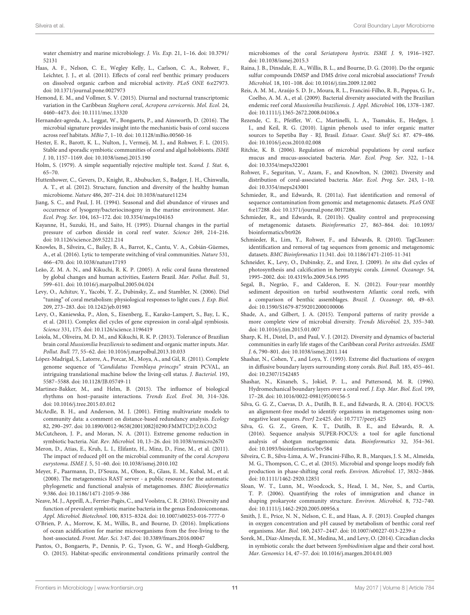[water chemistry and marine microbiology.](https://doi.org/10.3791/52131) J. Vis. Exp. 21, 1–16. doi: 10.3791/ 52131

- <span id="page-10-12"></span>Haas, A. F., Nelson, C. E., Wegley Kelly, L., Carlson, C. A., Rohwer, F., Leichter, J. J., et al. (2011). Effects of coral reef benthic primary producers on dissolved organic carbon and microbial activity. PLoS ONE 6:e27973. doi: [10.1371/journal.pone.0027973](https://doi.org/10.1371/journal.pone.0027973)
- <span id="page-10-7"></span>Hemond, E. M., and Vollmer, S. V. (2015). Diurnal and nocturnal transcriptomic variation in the Caribbean Staghorn coral, Acropora cervicornis. Mol. Ecol. 24, 4460–4473. doi: [10.1111/mec.13320](https://doi.org/10.1111/mec.13320)
- <span id="page-10-31"></span>Hernandez-agreda, A., Leggat, W., Bongaerts, P., and Ainsworth, D. (2016). The microbial signature provides insight into the mechanistic basis of coral success across reef habitats. MBio 7, 1–10. doi: [10.1128/mBio.00560-16](https://doi.org/10.1128/mBio.00560-16)
- <span id="page-10-30"></span>Hester, E. R., Barott, K. L., Nulton, J., Vermeij, M. J., and Rohwer, F. L. (2015). Stable and sporadic symbiotic communities of coral and algal holobionts. ISME J. 10, 1157–1169. doi: [10.1038/ismej.2015.190](https://doi.org/10.1038/ismej.2015.190)
- <span id="page-10-29"></span>Holm, S. (1979). A simple sequentially rejective multiple test. Scand. J. Stat. 6, 65–70.
- <span id="page-10-38"></span>Huttenhower, C., Gevers, D., Knight, R., Abubucker, S., Badger, J. H., Chinwalla, A. T., et al. (2012). Structure, function and diversity of the healthy human microbiome. Nature 486, 207–214. doi: [10.1038/nature11234](https://doi.org/10.1038/nature11234)
- <span id="page-10-39"></span>Jiang, S. C., and Paul, J. H. (1994). Seasonal and diel abundance of viruses and occurrence of lysogeny/bacteriocinogeny in the marine environment. Mar. Ecol. Prog. Ser. 104, 163–172. doi: [10.3354/meps104163](https://doi.org/10.3354/meps104163)
- <span id="page-10-14"></span>Kayanne, H., Suzuki, H., and Saito, H. (1995). Diurnal changes in the partial pressure of carbon dioxide in coral reef water. Science 269, 214–216. doi: [10.1126/science.269.5221.214](https://doi.org/10.1126/science.269.5221.214)
- <span id="page-10-40"></span>Knowles, B., Silveira, C., Bailey, B. A., Barrot, K., Cantu, V. A., Cobián-Güemes, A., et al. (2016). Lytic to temperate switching of viral communities. Nature 531, 466–470. doi: [10.1038/nature17193](https://doi.org/10.1038/nature17193)
- <span id="page-10-16"></span>Leão, Z. M. A. N., and Kikuchi, R. K. P. (2005). A relic coral fauna threatened by global changes and human activities, Eastern Brazil. Mar. Pollut. Bull. 51, 599–611. doi: [10.1016/j.marpolbul.2005.04.024](https://doi.org/10.1016/j.marpolbul.2005.04.024)
- <span id="page-10-6"></span>Levy, O., Achituv, Y., Yacobi, Y. Z., Dubinsky, Z., and Stambler, N. (2006). Diel "tuning" of coral metabolism: physiological responses to light cues. J. Exp. Biol. 209, 273–283. doi: [10.1242/jeb.01983](https://doi.org/10.1242/jeb.01983)
- <span id="page-10-5"></span>Levy, O., Kaniewska, P., Alon, S., Eisenberg, E., Karako-Lampert, S., Bay, L. K., et al. (2011). Complex diel cycles of gene expression in coral-algal symbiosis. Science 331, 175. doi: [10.1126/science.1196419](https://doi.org/10.1126/science.1196419)
- <span id="page-10-18"></span>Loiola, M., Oliveira, M. D. M., and Kikuchi, R. K. P. (2013). Tolerance of Brazilian brain coral Mussismilia braziliensis to sediment and organic matter inputs. Mar. Pollut. Bull. 77, 55–62. doi: [10.1016/j.marpolbul.2013.10.033](https://doi.org/10.1016/j.marpolbul.2013.10.033)
- <span id="page-10-36"></span>López-Madrigal, S., Latorre, A., Porcar, M., Moya, A., and Gil, R. (2011). Complete genome sequence of "Candidatus Tremblaya princeps" strain PCVAL, an intriguing translational machine below the living-cell status. J. Bacteriol. 193, 5587–5588. doi: [10.1128/JB.05749-11](https://doi.org/10.1128/JB.05749-11)
- <span id="page-10-8"></span>Martinez-Bakker, M., and Helm, B. (2015). The influence of biological rhythms on host–parasite interactions. Trends Ecol. Evol. 30, 314–326. doi: [10.1016/j.tree.2015.03.012](https://doi.org/10.1016/j.tree.2015.03.012)
- <span id="page-10-28"></span>McArdle, B. H., and Anderson, M. J. (2001). Fitting multivariate models to community data: a comment on distance-based redundancy analysis. Ecology 82, 290–297. doi: [10.1890/0012-9658\(2001\)082\[0290:FMMTCD\]2.0.CO;2](https://doi.org/10.1890/0012-9658(2001)082[0290:FMMTCD]2.0.CO;2)
- <span id="page-10-37"></span>McCutcheon, J. P., and Moran, N. A. (2011). Extreme genome reduction in symbiotic bacteria. Nat. Rev. Microbiol. 10, 13–26. doi: [10.1038/nrmicro2670](https://doi.org/10.1038/nrmicro2670)
- <span id="page-10-10"></span>Meron, D., Atias, E., Kruh, L. I., Elifantz, H., Minz, D., Fine, M., et al. (2011). The impact of reduced pH on the microbial community of the coral Acropora eurystoma. ISME J. 5, 51–60. doi: [10.1038/ismej.2010.102](https://doi.org/10.1038/ismej.2010.102)
- <span id="page-10-26"></span>Meyer, F., Paarmann, D., D'Souza, M., Olson, R., Glass, E. M., Kubal, M., et al. (2008). The metagenomics RAST server - a public resource for the automatic phylogenetic and functional analysis of metagenomes. BMC Bioinformatics 9:386. doi: [10.1186/1471-2105-9-386](https://doi.org/10.1186/1471-2105-9-386)
- <span id="page-10-33"></span>Neave, M. J., Apprill, A., Ferrier-Pagès, C., and Voolstra, C. R. (2016). Diversity and function of prevalent symbiotic marine bacteria in the genus Endozoicomonas. Appl. Microbiol. Biotechnol. 100, 8315–8324. doi: [10.1007/s00253-016-7777-0](https://doi.org/10.1007/s00253-016-7777-0)
- <span id="page-10-11"></span>O'Brien, P. A., Morrow, K. M., Willis, B., and Bourne, D. (2016). Implications of ocean acidification for marine microorganisms from the free-living to the host-associated. Front. Mar. Sci. 3:47. doi: [10.3389/fmars.2016.00047](https://doi.org/10.3389/fmars.2016.00047)

<span id="page-10-34"></span>Pantos, O., Bongaerts, P., Dennis, P. G., Tyson, G. W., and Hoegh-Guldberg, O. (2015). Habitat-specific environmental conditions primarily control the microbiomes of the coral Seriatopora hystrix. ISME J. 9, 1916–1927. doi: [10.1038/ismej.2015.3](https://doi.org/10.1038/ismej.2015.3)

- <span id="page-10-9"></span>Raina, J. B., Dinsdale, E. A., Willis, B. L., and Bourne, D. G. (2010). Do the organic sulfur compounds DMSP and DMS drive coral microbial associations? Trends Microbiol. 18, 101–108. doi: [10.1016/j.tim.2009.12.002](https://doi.org/10.1016/j.tim.2009.12.002)
- <span id="page-10-19"></span>Reis, A. M. M., Araújo S. D. Jr., Moura, R. L., Francini-Filho, R. B., Pappas, G. Jr., Coelho, A. M. A., et al. (2009). Bacterial diversity associated with the Brazilian endemic reef coral Mussismilia braziliensis. J. Appl. Microbiol. 106, 1378–1387. doi: [10.1111/j.1365-2672.2008.04106.x](https://doi.org/10.1111/j.1365-2672.2008.04106.x)
- <span id="page-10-20"></span>Rezende, C. E., Pfeiffer, W. C., Martinelli, L. A., Tsamakis, E., Hedges, J. I., and Keil, R. G. (2010). Lignin phenols used to infer organic matter sources to Sepetiba Bay - RJ, Brasil. Estuar. Coast. Shelf Sci. 87. 479–486. doi: [10.1016/j.ecss.2010.02.008](https://doi.org/10.1016/j.ecss.2010.02.008)
- <span id="page-10-0"></span>Ritchie, K. B. (2006). Regulation of microbial populations by coral surface mucus and mucus-associated bacteria. Mar. Ecol. Prog. Ser. 322, 1–14. doi: [10.3354/meps322001](https://doi.org/10.3354/meps322001)
- <span id="page-10-35"></span>Rohwer, F., Seguritan, V., Azam, F., and Knowlton, N. (2002). Diversity and distribution of coral-associated bacteria. Mar. Ecol. Prog. Ser. 243, 1–10. doi: [10.3354/meps243001](https://doi.org/10.3354/meps243001)
- <span id="page-10-23"></span>Schmieder, R., and Edwards, R. (2011a). Fast identification and removal of sequence contamination from genomic and metagenomic datasets. PLoS ONE 6:e17288. doi: [10.1371/journal.pone.0017288.](https://doi.org/10.1371/journal.pone.0017288.)
- <span id="page-10-21"></span>Schmieder, R., and Edwards, R. (2011b). Quality control and preprocessing of metagenomic datasets. Bioinformatics [27, 863–864. doi: 10.1093/](https://doi.org/10.1093/bioinformatics/btr026) bioinformatics/btr026
- <span id="page-10-22"></span>Schmieder, R., Lim, Y., Rohwer, F., and Edwards, R. (2010). TagCleaner: identification and removal of tag sequences from genomic and metagenomic datasets. BMC Bioinformatics 11:341. doi: [10.1186/1471-2105-11-341](https://doi.org/10.1186/1471-2105-11-341)
- <span id="page-10-3"></span>Schneider, K., Levy, O., Dubinsky, Z., and Erez, J. (2009). In situ diel cycles of photosynthesis and calcification in hermatypic corals. Limnol. Oceanogr. 54, 1995–2002. doi: [10.4319/lo.2009.54.6.1995](https://doi.org/10.4319/lo.2009.54.6.1995)
- <span id="page-10-17"></span>Segal, B., Negrão, F., and Calderon, E. N. (2012). Four-year monthly sediment deposition on turbid southwestern Atlantic coral reefs, with a comparison of benthic assemblages. Brazil. J. Oceanogr. 60, 49–63. doi: [10.1590/S1679-87592012000100006](https://doi.org/10.1590/S1679-87592012000100006)
- <span id="page-10-27"></span>Shade, A., and Gilbert, J. A. (2015). Temporal patterns of rarity provide a more complete view of microbial diversity. Trends Microbiol. 23, 335–340. doi: [10.1016/j.tim.2015.01.007](https://doi.org/10.1016/j.tim.2015.01.007)
- <span id="page-10-1"></span>Sharp, K. H., Distel, D., and Paul, V. J. (2012). Diversity and dynamics of bacterial communities in early life stages of the Caribbean coral Porites astreoides. ISME J. 6, 790–801. doi: [10.1038/ismej.2011.144](https://doi.org/10.1038/ismej.2011.144)
- <span id="page-10-2"></span>Shashar, N., Cohen, Y., and Loya, Y. (1993). Extreme diel fluctuations of oxygen in diffusive boundary layers surrounding stony corals. Biol. Bull. 185, 455–461. doi: [10.2307/1542485](https://doi.org/10.2307/1542485)
- <span id="page-10-13"></span>Shashar, N., Kinaneb, S., Jokiel, P. L., and Pattersond, M. R. (1996). Hydromechanical boundary layers over a coral reef. J. Exp. Mar. Biol. Ecol. 199, 17–28. doi: [10.1016/0022-0981\(95\)00156-5](https://doi.org/10.1016/0022-0981(95)00156-5)
- <span id="page-10-24"></span>Silva, G. G. Z., Cuevas, D. A., Dutilh, B. E., and Edwards, R. A. (2014). FOCUS: an alignment-free model to identify organisms in metagenomes using nonnegative least squares. PeerJ 2:e425. doi: [10.7717/peerj.425](https://doi.org/10.7717/peerj.425)
- <span id="page-10-25"></span>Silva, G. G. Z., Green, K. T., Dutilh, B. E., and Edwards, R. A. (2016). Sequence analysis SUPER-FOCUS: a tool for agile functional analysis of shotgun metagenomic data. Bioinformatics 32, 354–361. doi: [10.1093/bioinformatics/btv584](https://doi.org/10.1093/bioinformatics/btv584)
- <span id="page-10-15"></span>Silveira, C. B., Silva-Lima, A. W., Francini-Filho, R. B., Marques, J. S. M., Almeida, M. G., Thompson, C. C., et al. (2015). Microbial and sponge loops modify fish production in phase-shifting coral reefs. Environ. Microbiol. 17, 3832–3846. doi: [10.1111/1462-2920.12851](https://doi.org/10.1111/1462-2920.12851)
- <span id="page-10-41"></span>Sloan, W. T., Lunn, M., Woodcock, S., Head, I. M., Nee, S., and Curtis, T. P. (2006). Quantifying the roles of immigration and chance in shaping prokaryote community structure. Environ. Microbiol. 8, 732–740. doi: [10.1111/j.1462-2920.2005.00956.x](https://doi.org/10.1111/j.1462-2920.2005.00956.x)
- <span id="page-10-4"></span>Smith, J. E., Price, N. N., Nelson, C. E., and Haas, A. F. (2013). Coupled changes in oxygen concentration and pH caused by metabolism of benthic coral reef organisms. Mar. Biol. 160, 2437–2447. doi: [10.1007/s00227-013-2239-z](https://doi.org/10.1007/s00227-013-2239-z)
- <span id="page-10-32"></span>Sorek, M., Díaz-Almeyda, E. M., Medina, M., and Levy, O. (2014). Circadian clocks in symbiotic corals: the duet between Symbiodinium algae and their coral host. Mar. Genomics 14, 47–57. doi: [10.1016/j.margen.2014.01.003](https://doi.org/10.1016/j.margen.2014.01.003)